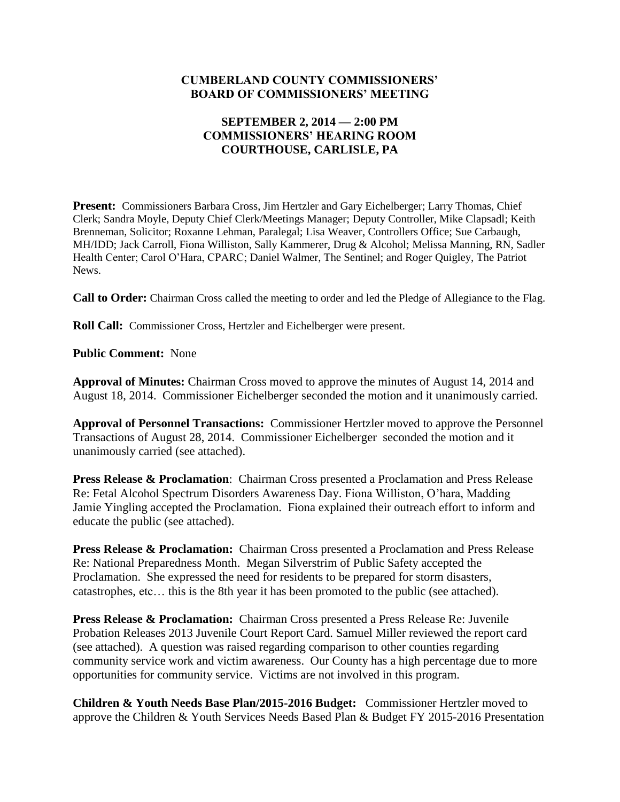#### **CUMBERLAND COUNTY COMMISSIONERS' BOARD OF COMMISSIONERS' MEETING**

#### **SEPTEMBER 2, 2014 — 2:00 PM COMMISSIONERS' HEARING ROOM COURTHOUSE, CARLISLE, PA**

**Present:** Commissioners Barbara Cross, Jim Hertzler and Gary Eichelberger; Larry Thomas, Chief Clerk; Sandra Moyle, Deputy Chief Clerk/Meetings Manager; Deputy Controller, Mike Clapsadl; Keith Brenneman, Solicitor; Roxanne Lehman, Paralegal; Lisa Weaver, Controllers Office; Sue Carbaugh, MH/IDD; Jack Carroll, Fiona Williston, Sally Kammerer, Drug & Alcohol; Melissa Manning, RN, Sadler Health Center; Carol O'Hara, CPARC; Daniel Walmer, The Sentinel; and Roger Quigley, The Patriot News.

**Call to Order:** Chairman Cross called the meeting to order and led the Pledge of Allegiance to the Flag.

**Roll Call:** Commissioner Cross, Hertzler and Eichelberger were present.

**Public Comment:** None

**Approval of Minutes:** Chairman Cross moved to approve the minutes of August 14, 2014 and August 18, 2014. Commissioner Eichelberger seconded the motion and it unanimously carried.

**Approval of Personnel Transactions:** Commissioner Hertzler moved to approve the Personnel Transactions of August 28, 2014. Commissioner Eichelberger seconded the motion and it unanimously carried (see attached).

**Press Release & Proclamation**:Chairman Cross presented a Proclamation and Press Release Re: Fetal Alcohol Spectrum Disorders Awareness Day. Fiona Williston, O'hara, Madding Jamie Yingling accepted the Proclamation. Fiona explained their outreach effort to inform and educate the public (see attached).

**Press Release & Proclamation:** Chairman Cross presented a Proclamation and Press Release Re: National Preparedness Month. Megan Silverstrim of Public Safety accepted the Proclamation. She expressed the need for residents to be prepared for storm disasters, catastrophes, etc… this is the 8th year it has been promoted to the public (see attached).

**Press Release & Proclamation:** Chairman Cross presented a Press Release Re: Juvenile Probation Releases 2013 Juvenile Court Report Card. Samuel Miller reviewed the report card (see attached). A question was raised regarding comparison to other counties regarding community service work and victim awareness. Our County has a high percentage due to more opportunities for community service. Victims are not involved in this program.

**Children & Youth Needs Base Plan/2015-2016 Budget:** Commissioner Hertzler moved to approve the Children & Youth Services Needs Based Plan & Budget FY 2015-2016 Presentation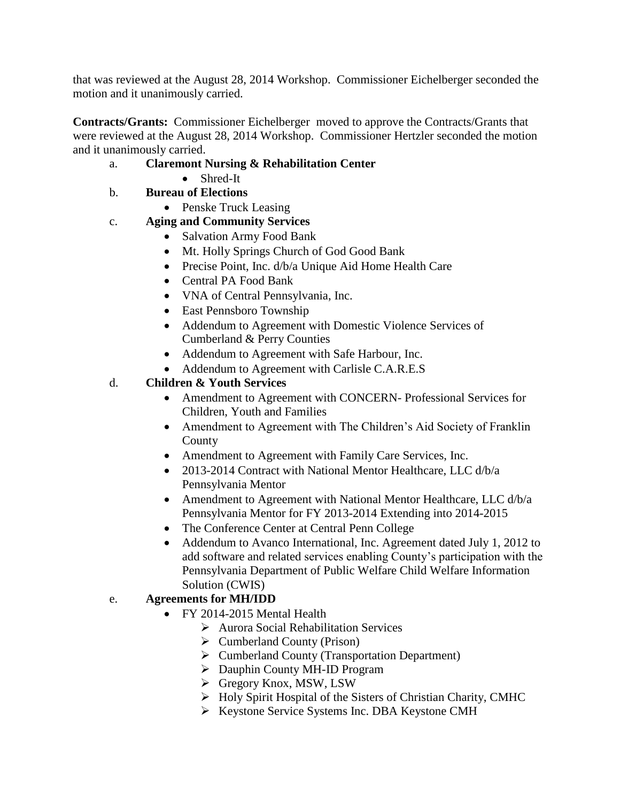that was reviewed at the August 28, 2014 Workshop. Commissioner Eichelberger seconded the motion and it unanimously carried.

**Contracts/Grants:** Commissioner Eichelberger moved to approve the Contracts/Grants that were reviewed at the August 28, 2014 Workshop. Commissioner Hertzler seconded the motion and it unanimously carried.

- a. **Claremont Nursing & Rehabilitation Center**
	- Shred-It

## b. **Bureau of Elections**

• Penske Truck Leasing

## c. **Aging and Community Services**

- Salvation Army Food Bank
- Mt. Holly Springs Church of God Good Bank
- Precise Point, Inc. d/b/a Unique Aid Home Health Care
- Central PA Food Bank
- VNA of Central Pennsylvania, Inc.
- East Pennsboro Township
- Addendum to Agreement with Domestic Violence Services of Cumberland & Perry Counties
- Addendum to Agreement with Safe Harbour, Inc.
- Addendum to Agreement with Carlisle C.A.R.E.S

## d. **Children & Youth Services**

- Amendment to Agreement with CONCERN- Professional Services for Children, Youth and Families
- Amendment to Agreement with The Children's Aid Society of Franklin County
- Amendment to Agreement with Family Care Services, Inc.
- 2013-2014 Contract with National Mentor Healthcare, LLC d/b/a Pennsylvania Mentor
- Amendment to Agreement with National Mentor Healthcare, LLC d/b/a Pennsylvania Mentor for FY 2013-2014 Extending into 2014-2015
- The Conference Center at Central Penn College
- Addendum to Avanco International, Inc. Agreement dated July 1, 2012 to add software and related services enabling County's participation with the Pennsylvania Department of Public Welfare Child Welfare Information Solution (CWIS)

#### e. **Agreements for MH/IDD**

- FY 2014-2015 Mental Health
	- Aurora Social Rehabilitation Services
	- $\triangleright$  Cumberland County (Prison)
	- Cumberland County (Transportation Department)
	- Dauphin County MH-ID Program
	- Gregory Knox, MSW, LSW
	- $\triangleright$  Holy Spirit Hospital of the Sisters of Christian Charity, CMHC
	- Keystone Service Systems Inc. DBA Keystone CMH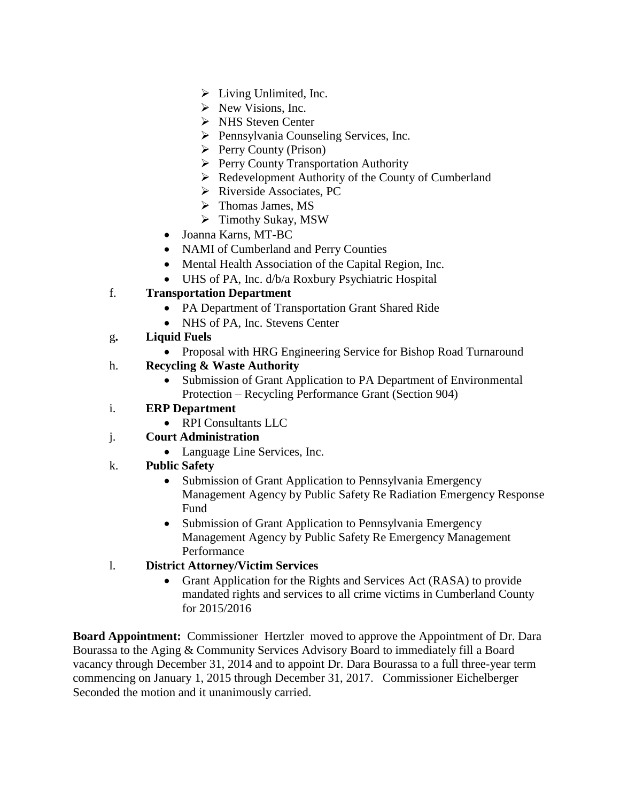- $\triangleright$  Living Unlimited, Inc.
- $\triangleright$  New Visions, Inc.
- $\triangleright$  NHS Steven Center
- $\triangleright$  Pennsylvania Counseling Services, Inc.
- $\triangleright$  Perry County (Prison)
- $\triangleright$  Perry County Transportation Authority
- $\triangleright$  Redevelopment Authority of the County of Cumberland
- $\triangleright$  Riverside Associates, PC
- $\triangleright$  Thomas James, MS
- Timothy Sukay, MSW
- Joanna Karns, MT-BC
- NAMI of Cumberland and Perry Counties
- Mental Health Association of the Capital Region, Inc.
- UHS of PA, Inc. d/b/a Roxbury Psychiatric Hospital

# f. **Transportation Department**

- PA Department of Transportation Grant Shared Ride
- NHS of PA, Inc. Stevens Center
- g**. Liquid Fuels** 
	- Proposal with HRG Engineering Service for Bishop Road Turnaround

## h. **Recycling & Waste Authority**

- Submission of Grant Application to PA Department of Environmental Protection – Recycling Performance Grant (Section 904)
- i. **ERP Department** 
	- RPI Consultants LLC
- j. **Court Administration** 
	- Language Line Services, Inc.
- k. **Public Safety**
	- Submission of Grant Application to Pennsylvania Emergency Management Agency by Public Safety Re Radiation Emergency Response Fund
	- Submission of Grant Application to Pennsylvania Emergency Management Agency by Public Safety Re Emergency Management Performance

#### l. **District Attorney/Victim Services**

• Grant Application for the Rights and Services Act (RASA) to provide mandated rights and services to all crime victims in Cumberland County for 2015/2016

**Board Appointment:** Commissioner Hertzler moved to approve the Appointment of Dr. Dara Bourassa to the Aging & Community Services Advisory Board to immediately fill a Board vacancy through December 31, 2014 and to appoint Dr. Dara Bourassa to a full three-year term commencing on January 1, 2015 through December 31, 2017. Commissioner Eichelberger Seconded the motion and it unanimously carried.